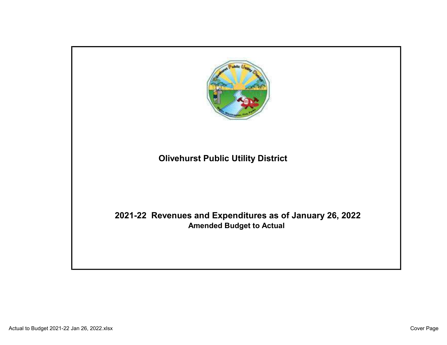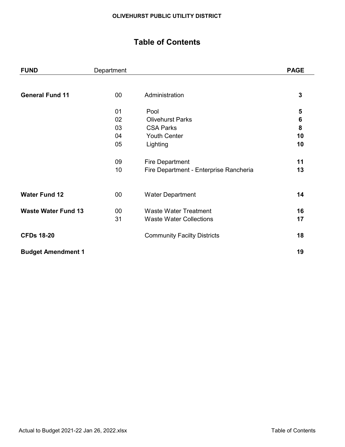## Table of Contents

| <b>FUND</b>                | Department |                                        | <b>PAGE</b>  |
|----------------------------|------------|----------------------------------------|--------------|
|                            |            |                                        |              |
| <b>General Fund 11</b>     | $00\,$     | Administration                         | $\mathbf{3}$ |
|                            | 01         | Pool                                   | 5            |
|                            | 02         | <b>Olivehurst Parks</b>                | $\bf 6$      |
|                            | 03         | <b>CSA Parks</b>                       | 8            |
|                            | 04         | <b>Youth Center</b>                    | 10           |
|                            | 05         | Lighting                               | 10           |
|                            | 09         | <b>Fire Department</b>                 | 11           |
|                            | 10         | Fire Department - Enterprise Rancheria | 13           |
|                            |            |                                        |              |
| <b>Water Fund 12</b>       | $00\,$     | <b>Water Department</b>                | 14           |
| <b>Waste Water Fund 13</b> | $00\,$     | <b>Waste Water Treatment</b>           | 16           |
|                            | 31         | <b>Waste Water Collections</b>         | 17           |
| <b>CFDs 18-20</b>          |            | <b>Community Facilty Districts</b>     | 18           |
| <b>Budget Amendment 1</b>  |            |                                        | 19           |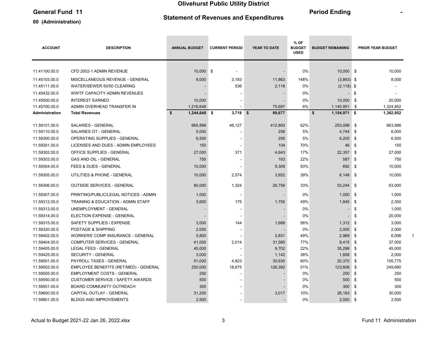### General Fund 11 and 11 and 11 and 11 and 11 and 12 and 12 and 12 and 12 and 12 and 12 and 12 and 12 and 12 and 12 and 12 and 12 and 12 and 12 and 12 and 12 and 12 and 12 and 12 and 12 and 12 and 12 and 12 and 12 and 12 and

#### 00 (Administration)

### Statement of Revenues and Expenditures

 $\sim$ 

| <b>ACCOUNT</b> | <b>DESCRIPTION</b>                       | <b>ANNUAL BUDGET</b> | <b>CURRENT PERIOD</b> | <b>YEAR TO DATE</b> | % OF<br><b>BUDGET</b><br><b>USED</b> | <b>BUDGET REMAINING</b> | <b>PRIOR YEAR BUDGET</b> |  |
|----------------|------------------------------------------|----------------------|-----------------------|---------------------|--------------------------------------|-------------------------|--------------------------|--|
|                |                                          |                      |                       |                     |                                      |                         |                          |  |
| 11.41100.00.0  | CFD 2002-1 ADMIN REVENUE                 | 10.000 \$            | $\blacksquare$        |                     | 0%                                   | 10.000 \$               | 10.000                   |  |
| 11.45103.00.0  | MISCELLANEOUS REVENUE - GENERAL          | 8,000                | 3,183                 | 11,863              | 148%                                 | $(3,863)$ \$            | 8,000                    |  |
| 11.45111.00.0  | WATER/SEWER 50/50 CLEARING               |                      | 536                   | 2,118               | 0%                                   | $(2, 118)$ \$           |                          |  |
| 11.45432.00.0  | WWTF CAPACITY ADMIN REVENUES             |                      |                       |                     | 0%                                   | ۰.                      | \$                       |  |
| 11.45500.00.0  | <b>INTEREST EARNED</b>                   | 10,000               |                       |                     | 0%                                   | 10,000                  | -\$<br>20,000            |  |
| 11.45700.00.0  | ADMIN OVERHEAD TRANSFER IN               | 1,216,648            |                       | 75,697              | 6%                                   | 1,140,951               | - \$<br>1,324,852        |  |
| Administration | <b>Total Revenues</b>                    | \$<br>$1,244,648$ \$ | $3,718$ \$            | 89,677              |                                      | \$<br>$1,154,971$ \$    | 1,362,852                |  |
| 11.59101.00.0  | <b>SALARIES - GENERAL</b>                | 665,898              | 46,127                | 412,800             | 62%                                  | 253,098                 | \$<br>663,986            |  |
| 11.59110.00.0  | <b>SALARIES OT - GENERAL</b>             | 5,000                |                       | 256                 | 5%                                   | 4,744                   | \$<br>6,000              |  |
| 11.59300.00.0  | OPERATING SUPPLIES - GENERAL             | 6,500                |                       | 295                 | 5%                                   | 6,205                   | \$<br>6,500              |  |
| 11.59301.00.0  | LICENSES AND DUES - ADMIN EMPLOYEES      | 150                  |                       | 104                 | 70%                                  | 46                      | \$<br>150                |  |
| 11.59302.00.0  | OFFICE SUPPLIES - GENERAL                | 27,000               | 371                   | 4,643               | 17%                                  | 22,357                  | -\$<br>27,000            |  |
| 11.59303.00.0  | <b>GAS AND OIL - GENERAL</b>             | 750                  |                       | 163                 | 22%                                  | 587                     | \$<br>750                |  |
| 11.59304.00.0  | FEES & DUES - GENERAL                    | 10,000               |                       | 9,309               | 93%                                  | 692                     | \$<br>10,000             |  |
| 11.59305.00.0  | UTILITIES & PHONE - GENERAL              | 10,000               | 2,574                 | 3,852               | 39%                                  | $6.148$ \$              | 10,000                   |  |
| 11.59306.00.0  | <b>OUTSIDE SERVICES - GENERAL</b>        | 80,000               | 1,324                 | 26,756              | 33%                                  | 53,244 \$               | 63,000                   |  |
| 11.59307.00.0  | PRINTING/PUBLIC/LEGAL NOTICES - ADMIN    | 1,000                | $\blacksquare$        |                     | 0%                                   | $1,000$ \$              | 1,000                    |  |
| 11.59312.00.0  | TRAINING & EDUCATION - ADMIN STAFF       | 3,600                | 175                   | 1,755               | 49%                                  | $1,845$ \$              | 2,350                    |  |
| 11.59313.00.0  | UNEMPLOYMENT - GENERAL                   |                      | $\blacksquare$        |                     | 0%                                   | -                       | \$<br>1,000              |  |
| 11.59314.00.0  | <b>ELECTION EXPENSE - GENERAL</b>        |                      |                       |                     | 0%                                   |                         | \$<br>20,000             |  |
| 11.59315.00.0  | SAFETY SUPPLIES / EXPENSE                | 3,000                | 144                   | 1,688               | 56%                                  | $1,312$ \$              | 3,000                    |  |
| 11.59320.00.0  | POSTAGE & SHIPPING                       | 2,000                |                       |                     | 0%                                   | 2,000                   | \$<br>2,000              |  |
| 11.59402.00.0  | <b>WORKERS' COMP INSURANCE - GENERAL</b> | 5,800                |                       | 2,831               | 49%                                  | 2,969                   | \$<br>6,006              |  |
| 11.59404.00.0  | <b>COMPUTER SERVICES - GENERAL</b>       | 41,000               | 2,014                 | 31,585              | 77%                                  | 9,415                   | -\$<br>37,000            |  |
| 11.59405.00.0  | <b>LEGAL FEES - GENERAL</b>              | 45,000               |                       | 9,702               | 22%                                  | 35,298                  | \$<br>45,000             |  |
| 11.59425.00.0  | <b>SECURITY - GENERAL</b>                | 3,000                |                       | 1,142               | 38%                                  | 1,858                   | \$<br>2,000              |  |
| 11.59501.00.0  | PAYROLL TAXES - GENERAL                  | 51,000               | 4,823                 | 30,630              | 60%                                  | 20,370                  | \$<br>105,775            |  |
| 11.59502.00.0  | EMPLOYEE BENEFITS (RET/MED) - GENERAL    | 250,000              | 18,675                | 126,392             | 51%                                  | 123,608                 | \$<br>249,680            |  |
| 11.59505.00.0  | <b>EMPLOYMENT COSTS - GENERAL</b>        | 250                  |                       |                     | 0%                                   | 250                     | \$<br>250                |  |
| 11.59550.00.0  | <b>CUSTOMER SERVICE / SAFETY AWARDS</b>  | 500                  |                       |                     | 0%                                   | 500                     | 500<br>\$                |  |
| 11.59551.00.0  | BOARD COMMUNITY OUTREACH                 | 300                  |                       |                     | 0%                                   | 300                     | \$<br>300                |  |
| 11.59600.00.0  | CAPITAL OUTLAY - GENERAL                 | 31,200               |                       | 3,017               | 10%                                  | 28,183                  | \$<br>30,000             |  |
| 11.59801.00.0  | <b>BLDGS AND IMPROVEMENTS</b>            | 2,500                |                       |                     | 0%                                   | $2,500$ \$              | 2,500                    |  |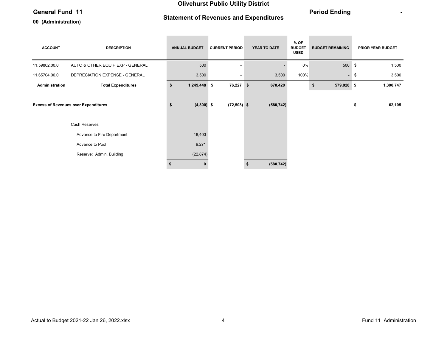#### General Fund 11 **Contract Contract Contract Contract Contract Contract Contract Contract Contract Contract Contract Contract Contract Contract Contract Contract Contract Contract Contract Contract Contract Contract Contrac**

#### 00 (Administration)

### Statement of Revenues and Expenditures

the control of the control of the control of

\_\_\_\_\_\_\_

| <b>ACCOUNT</b> | <b>DESCRIPTION</b>                          |    | <b>ANNUAL BUDGET</b> | <b>CURRENT PERIOD</b> |    | YEAR TO DATE | $%$ OF<br><b>BUDGET</b><br><b>USED</b> | <b>BUDGET REMAINING</b> | PRIOR YEAR BUDGET |
|----------------|---------------------------------------------|----|----------------------|-----------------------|----|--------------|----------------------------------------|-------------------------|-------------------|
| 11.59802.00.0  | AUTO & OTHER EQUIP EXP - GENERAL            |    | 500                  |                       |    |              | 0%                                     | 500                     | \$<br>1,500       |
| 11.65704.00.0  | DEPRECIATION EXPENSE - GENERAL              |    | 3,500                |                       |    | 3,500        | 100%                                   | $\blacksquare$          | \$<br>3,500       |
| Administration | <b>Total Expenditures</b>                   | \$ | 1,249,448 \$         | 76,227                | \$ | 670,420      |                                        | 579,028 \$<br>\$        | 1,300,747         |
|                | <b>Excess of Revenues over Expenditures</b> | \$ | $(4,800)$ \$         | $(72,508)$ \$         |    | (580, 742)   |                                        |                         | \$<br>62,105      |
|                | Cash Reserves                               |    |                      |                       |    |              |                                        |                         |                   |
|                | Advance to Fire Department                  |    | 18,403               |                       |    |              |                                        |                         |                   |
|                | Advance to Pool                             |    | 9,271                |                       |    |              |                                        |                         |                   |
|                | Reserve: Admin. Building                    |    | (22, 874)            |                       |    |              |                                        |                         |                   |
|                |                                             | S  |                      |                       | -S | (580, 742)   |                                        |                         |                   |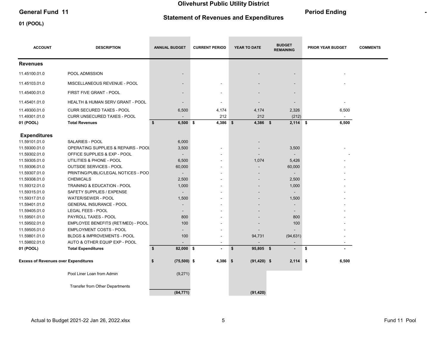### General Fund 11 and 11 and 11 and 11 and 11 and 12 and 12 and 12 and 12 and 12 and 12 and 12 and 12 and 12 and 12 and 12 and 12 and 12 and 12 and 12 and 12 and 12 and 12 and 12 and 12 and 12 and 12 and 12 and 12 and 12 and

Olivehurst Public Utility District

01 (POOL)

### Statement of Revenues and Expenditures

| <b>ACCOUNT</b>                              | <b>DESCRIPTION</b>                     | <b>ANNUAL BUDGET</b>     | <b>CURRENT PERIOD</b> | YEAR TO DATE    | <b>BUDGET</b><br><b>REMAINING</b> | <b>PRIOR YEAR BUDGET</b> | <b>COMMENTS</b> |
|---------------------------------------------|----------------------------------------|--------------------------|-----------------------|-----------------|-----------------------------------|--------------------------|-----------------|
| <b>Revenues</b>                             |                                        |                          |                       |                 |                                   |                          |                 |
| 11.45100.01.0                               | POOL ADMISSION                         |                          |                       |                 |                                   |                          |                 |
| 11.45103.01.0                               | MISCELLANEOUS REVENUE - POOL           |                          |                       |                 |                                   |                          |                 |
| 11.45400.01.0                               | FIRST FIVE GRANT - POOL                | $\overline{\phantom{a}}$ |                       |                 |                                   |                          |                 |
| 11.45401.01.0                               | HEALTH & HUMAN SERV GRANT - POOL       | $\overline{\phantom{a}}$ |                       |                 |                                   |                          |                 |
| 11.49300.01.0                               | <b>CURR SECURED TAXES - POOL</b>       | 6,500                    | 4,174                 | 4,174           | 2,326                             | 6,500                    |                 |
| 11.49301.01.0                               | <b>CURR UNSECURED TAXES - POOL</b>     |                          | 212                   | 212             | (212)                             |                          |                 |
| 01 (POOL)                                   | <b>Total Revenues</b>                  | \$<br>$6,500$ \$         | $4,386$ \$            | $4,386$ \$      | $2,114$ \$                        | 6,500                    |                 |
| <b>Expenditures</b>                         |                                        |                          |                       |                 |                                   |                          |                 |
| 11.59101.01.0                               | SALARIES - POOL                        | 6,000                    |                       |                 |                                   |                          |                 |
| 11.59300.01.0                               | OPERATING SUPPLIES & REPAIRS - POOL    | 3,500                    |                       |                 | 3,500                             |                          |                 |
| 11.59302.01.0                               | OFFICE SUPPLIES & EXP - POOL           |                          |                       |                 |                                   |                          |                 |
| 11.59305.01.0                               | UTILITIES & PHONE - POOL               | 6,500                    |                       | 1,074           | 5,426                             |                          |                 |
| 11.59306.01.0                               | <b>OUTSIDE SERVICES - POOL</b>         | 60,000                   |                       |                 | 60,000                            |                          |                 |
| 11.59307.01.0                               | PRINTING/PUBLIC/LEGAL NOTICES - POO    | $\overline{\phantom{a}}$ |                       |                 | $\overline{\phantom{a}}$          |                          |                 |
| 11.59308.01.0                               | <b>CHEMICALS</b>                       | 2,500                    |                       |                 | 2,500                             |                          |                 |
| 11.59312.01.0                               | TRAINING & EDUCATION - POOL            | 1,000                    |                       |                 | 1,000                             |                          |                 |
| 11.59315.01.0                               | SAFETY SUPPLIES / EXPENSE              | $\overline{\phantom{a}}$ |                       |                 |                                   |                          |                 |
| 11.59317.01.0                               | <b>WATER/SEWER - POOL</b>              | 1,500                    |                       |                 | 1,500                             |                          |                 |
| 11.59401.01.0                               | <b>GENERAL INSURANCE - POOL</b>        |                          |                       |                 |                                   |                          |                 |
| 11.59405.01.0                               | <b>LEGAL FEES - POOL</b>               | $\overline{\phantom{0}}$ |                       |                 |                                   |                          |                 |
| 11.59501.01.0                               | PAYROLL TAXES - POOL                   | 800                      |                       |                 | 800                               |                          |                 |
| 11.59502.01.0                               | EMPLOYEE BENEFITS (RET/MED) - POOL     | 100                      |                       |                 | 100                               |                          |                 |
| 11.59505.01.0                               | <b>EMPLOYMENT COSTS - POOL</b>         | $\overline{\phantom{0}}$ |                       |                 |                                   |                          |                 |
| 11.59801.01.0                               | BLDGS & IMPROVEMENTS - POOL            | 100                      |                       | 94,731          | (94, 631)                         |                          |                 |
| 11.59802.01.0                               | AUTO & OTHER EQUIP EXP - POOL          |                          |                       |                 |                                   |                          |                 |
| 01 (POOL)                                   | <b>Total Expenditures</b>              | \$<br>82,000 \$          | $\blacksquare$        | 95,805 \$<br>\$ | $\blacksquare$                    | \$                       |                 |
| <b>Excess of Revenues over Expenditures</b> |                                        | $(75,500)$ \$<br>\$      | $4,386$ \$            | $(91, 420)$ \$  | 2,114                             | -\$<br>6,500             |                 |
|                                             | Pool Liner Loan from Admin             | (9,271)                  |                       |                 |                                   |                          |                 |
|                                             | <b>Transfer from Other Departments</b> |                          |                       |                 |                                   |                          |                 |
|                                             |                                        | (84, 771)                |                       | (91, 420)       |                                   |                          |                 |

۰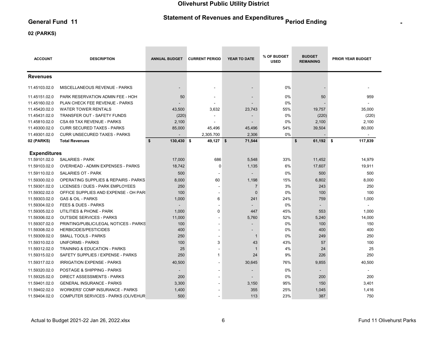# Statement of Revenues and Expenditures Period Ending Period 11

#### 02 (PARKS)

| <b>ACCOUNT</b>      | <b>DESCRIPTION</b>                              | <b>ANNUAL BUDGET</b> | <b>CURRENT PERIOD</b> | <b>YEAR TO DATE</b>      | % OF BUDGET<br><b>USED</b> | <b>BUDGET</b><br><b>REMAINING</b> | <b>PRIOR YEAR BUDGET</b> |
|---------------------|-------------------------------------------------|----------------------|-----------------------|--------------------------|----------------------------|-----------------------------------|--------------------------|
| <b>Revenues</b>     |                                                 |                      |                       |                          |                            |                                   |                          |
| 11.45103.02.0       | <b>MISCELLANEOUS REVENUE - PARKS</b>            |                      |                       |                          | 0%                         |                                   |                          |
| 11.45151.02.0       | PARK RESERVATION ADMIN FEE - HOH                | 50                   |                       |                          | 0%                         | 50                                | 959                      |
| 11.45160.02.0       | PLAN CHECK FEE REVENUE - PARKS                  |                      |                       |                          | 0%                         |                                   |                          |
| 11.45420.02.0       | <b>WATER TOWER RENTALS</b>                      | 43,500               | 3,632                 | 23,743                   | 55%                        | 19,757                            | 35,000                   |
| 11.45431.02.0       | TRANSFER OUT - SAFETY FUNDS                     | (220)                |                       | $\overline{\phantom{a}}$ | 0%                         | (220)                             | (220)                    |
| 11.45810.02.0       | CSA 69 TAX REVENUE - PARKS                      | 2,100                |                       |                          | 0%                         | 2,100                             | 2,100                    |
| 11.49300.02.0       | <b>CURR SECURED TAXES - PARKS</b>               | 85,000               | 45,496                | 45,496                   | 54%                        | 39,504                            | 80,000                   |
| 11.49301.02.0       | <b>CURR UNSECURED TAXES - PARKS</b>             |                      | 2,305.700             | 2,306                    | 0%                         |                                   |                          |
| 02 (PARKS)          | <b>Total Revenues</b>                           | \$<br>130,430 \$     | $49,127$ \$           | 71,544                   |                            | \$<br>$61,192$ \$                 | 117,839                  |
| <b>Expenditures</b> |                                                 |                      |                       |                          |                            |                                   |                          |
| 11.59101.02.0       | <b>SALARIES - PARK</b>                          | 17,000               | 686                   | 5,548                    | 33%                        | 11,452                            | 14,979                   |
| 11.59103.02.0       | OVERHEAD - ADMIN EXPENSES - PARKS               | 18,742               | 0                     | 1,135                    | 6%                         | 17,607                            | 19,911                   |
| 11.59110.02.0       | <b>SALARIES OT - PARK</b>                       | 500                  |                       |                          | 0%                         | 500                               | 500                      |
| 11.59300.02.0       | <b>OPERATING SUPPLIES &amp; REPAIRS - PARKS</b> | 8,000                | 60                    | 1,198                    | 15%                        | 6,802                             | 8,000                    |
| 11.59301.02.0       | LICENSES / DUES - PARK EMPLOYEES                | 250                  |                       | $\overline{7}$           | 3%                         | 243                               | 250                      |
| 11.59302.02.0       | OFFICE SUPPLIES AND EXPENSE - OH PARI           | 100                  |                       | $\mathbf 0$              | 0%                         | 100                               | 100                      |
| 11.59303.02.0       | <b>GAS &amp; OIL - PARKS</b>                    | 1,000                | 6                     | 241                      | 24%                        | 759                               | 1,000                    |
| 11.59304.02.0       | <b>FEES &amp; DUES - PARKS</b>                  |                      |                       |                          | 0%                         |                                   |                          |
| 11.59305.02.0       | UTILITIES & PHONE - PARK                        | 1,000                | 0                     | 447                      | 45%                        | 553                               | 1,000                    |
| 11.59306.02.0       | <b>OUTSIDE SERVICES - PARKS</b>                 | 11,000               |                       | 5,760                    | 52%                        | 5,240                             | 14,000                   |
| 11.59307.02.0       | PRINTING/PUBLIC/LEGAL NOTICES - PARKS           | 100                  |                       |                          | 0%                         | 100                               | 150                      |
| 11.59308.02.0       | <b>HERBICIDES/PESTICIDES</b>                    | 400                  |                       |                          | 0%                         | 400                               | 400                      |
| 11.59309.02.0       | <b>SMALL TOOLS - PARKS</b>                      | 250                  |                       | -1                       | 0%                         | 249                               | 250                      |
| 11.59310.02.0       | <b>UNIFORMS - PARKS</b>                         | 100                  | 3                     | 43                       | 43%                        | 57                                | 100                      |
| 11.59312.02.0       | TRAINING & EDUCATION - PARKS                    | 25                   |                       | -1                       | 4%                         | 24                                | 25                       |
| 11.59315.02.0       | SAFETY SUPPLIES / EXPENSE - PARKS               | 250                  | $\mathbf{1}$          | 24                       | 9%                         | 226                               | 250                      |
| 11.59317.02.0       | <b>IRRIGATION EXPENSE - PARKS</b>               | 40,500               |                       | 30,645                   | 76%                        | 9,855                             | 40,500                   |
| 11.59320.02.0       | <b>POSTAGE &amp; SHIPPING - PARKS</b>           | $\blacksquare$       |                       |                          | 0%                         | $\overline{\phantom{a}}$          |                          |
| 11.59325.02.0       | <b>DIRECT ASSESSMENTS - PARKS</b>               | 200                  |                       |                          | 0%                         | 200                               | 200                      |
| 11.59401.02.0       | <b>GENERAL INSURANCE - PARKS</b>                | 3,300                |                       | 3,150                    | 95%                        | 150                               | 3,401                    |
| 11.59402.02.0       | <b>WORKERS' COMP INSURANCE - PARKS</b>          | 1,400                |                       | 355                      | 25%                        | 1,045                             | 1,416                    |
| 11.59404.02.0       | COMPUTER SERVICES - PARKS (OLIVEHUR             | 500                  |                       | 113                      | 23%                        | 387                               | 750                      |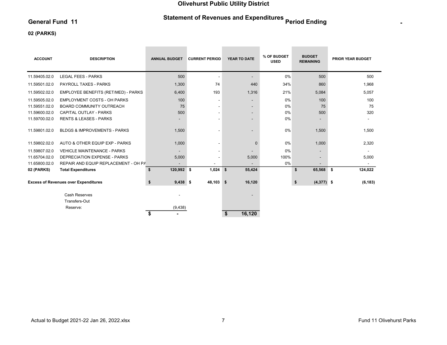# Statement of Revenues and Expenditures Period Ending Period 11

\_\_\_\_\_\_

\_\_\_\_\_\_

#### 02 (PARKS)

| <b>ACCOUNT</b> | <b>DESCRIPTION</b>                          | <b>ANNUAL BUDGET</b>     | <b>CURRENT PERIOD</b>        | <b>YEAR TO DATE</b>      | % OF BUDGET<br><b>USED</b> | <b>BUDGET</b><br><b>REMAINING</b> | <b>PRIOR YEAR BUDGET</b> |
|----------------|---------------------------------------------|--------------------------|------------------------------|--------------------------|----------------------------|-----------------------------------|--------------------------|
| 11.59405.02.0  | <b>LEGAL FEES - PARKS</b>                   | 500                      |                              | $\overline{\phantom{a}}$ | 0%                         | 500                               | 500                      |
| 11.59501.02.0  | <b>PAYROLL TAXES - PARKS</b>                | 1,300                    | 74                           | 440                      | 34%                        | 860                               | 1,968                    |
| 11.59502.02.0  | EMPLOYEE BENEFITS (RET/MED) - PARKS         | 6,400                    | 193                          | 1,316                    | 21%                        | 5,084                             | 5,057                    |
| 11.59505.02.0  | <b>EMPLOYMENT COSTS - OH PARKS</b>          | 100                      | $\overline{\phantom{a}}$     | $\overline{\phantom{a}}$ | 0%                         | 100                               | 100                      |
| 11.59551.02.0  | <b>BOARD COMMUNITY OUTREACH</b>             | 75                       | -                            | $\overline{\phantom{a}}$ | 0%                         | 75                                | 75                       |
| 11.59600.02.0  | CAPITAL OUTLAY - PARKS                      | 500                      | $\qquad \qquad \blacksquare$ | -                        | 0%                         | 500                               | 320                      |
| 11.59700.02.0  | <b>RENTS &amp; LEASES - PARKS</b>           | $\overline{\phantom{0}}$ |                              | $\overline{\phantom{a}}$ | 0%                         |                                   |                          |
| 11.59801.02.0  | <b>BLDGS &amp; IMPROVEMENTS - PARKS</b>     | 1,500                    |                              |                          | 0%                         | 1,500                             | 1,500                    |
| 11.59802.02.0  | AUTO & OTHER EQUIP EXP - PARKS              | 1,000                    |                              | $\mathbf{0}$             | 0%                         | 1,000                             | 2,320                    |
| 11.59807.02.0  | <b>VEHICLE MAINTENANCE - PARKS</b>          |                          | $\qquad \qquad \blacksquare$ |                          | 0%                         |                                   |                          |
| 11.65704.02.0  | <b>DEPRECIATION EXPENSE - PARKS</b>         | 5,000                    |                              | 5,000                    | 100%                       |                                   | 5,000                    |
| 11.65800.02.0  | REPAIR AND EQUIP REPLACEMENT - OH PA        |                          |                              |                          | 0%                         |                                   |                          |
| 02 (PARKS)     | <b>Total Expenditures</b>                   | 120,992 \$<br>\$         | 1,024                        | 55,424<br>\$             |                            | 65,568<br>\$                      | 124,022<br>\$            |
|                | <b>Excess of Revenues over Expenditures</b> | \$<br>$9,438$ \$         | 48,103 \$                    | 16,120                   |                            | \$<br>$(4,377)$ \$                | (6, 183)                 |
|                | Cash Reserves<br>Transfers-Out              |                          |                              |                          |                            |                                   |                          |
|                | Reserve:                                    | (9, 438)                 |                              | 16,120<br>\$             |                            |                                   |                          |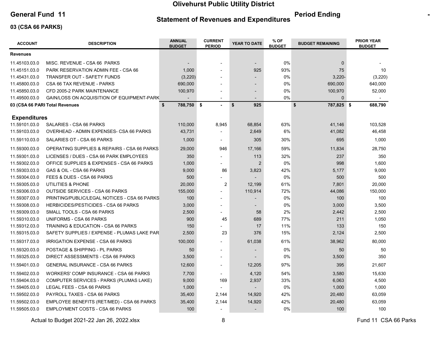Statement of Revenues and Expenditures

### General Fund 11 **Continues And Continues Continues and Funeral Period Ending Period Ending Continues Act of Period Ending Act of Period Ending Continues Act of Period Ending Act of Period Ending Act of Period Ending Act of**

#### 03 (CSA 66 PARKS)

| <b>ACCOUNT</b>      | <b>DESCRIPTION</b>                           | <b>ANNUAL</b><br><b>BUDGET</b> | <b>CURRENT</b><br><b>PERIOD</b> | YEAR TO DATE   | % OF<br><b>BUDGET</b> | <b>BUDGET REMAINING</b> | <b>PRIOR YEAR</b><br><b>BUDGET</b> |
|---------------------|----------------------------------------------|--------------------------------|---------------------------------|----------------|-----------------------|-------------------------|------------------------------------|
| Revenues            |                                              |                                |                                 |                |                       |                         |                                    |
| 11.45103.03.0       | MISC. REVENUE - CSA 66 PARKS                 |                                | $\overline{\phantom{a}}$        |                | 0%                    | $\mathbf 0$             |                                    |
| 11.45151.03.0       | PARK RESERVATION ADMIN FEE - CSA 66          | 1,000                          |                                 | 925            | 93%                   | 75                      | 10                                 |
| 11.45431.03.0       | <b>TRANSFER OUT - SAFETY FUNDS</b>           | (3, 220)                       |                                 |                | 0%                    | $3,220 -$               | (3,220)                            |
| 11.45800.03.0       | CSA 66 TAX REVENUE - PARKS                   | 690,000                        |                                 |                | 0%                    | 690,000                 | 640,000                            |
| 11.45850.03.0       | CFD 2005-2 PARK MAINTENANCE                  | 100,970                        |                                 |                | 0%                    | 100,970                 | 52,000                             |
| 11.49500.03.0       | GAIN/LOSS ON ACQUISITION OF EQUIPMENT-PARK   |                                | $\blacksquare$                  | ÷,             | 0%                    | $\Omega$                |                                    |
|                     | 03 (CSA 66 PARI Total Revenues               | \$<br>788,750 \$               | $\sim$                          | 925<br>\$      |                       | \$<br>787,825 \$        | 688,790                            |
| <b>Expenditures</b> |                                              |                                |                                 |                |                       |                         |                                    |
| 11.59101.03.0       | SALARIES - CSA 66 PARKS                      | 110,000                        | 8,945                           | 68,854         | 63%                   | 41,146                  | 103,528                            |
| 11.59103.03.0       | OVERHEAD - ADMIN EXPENSES- CSA 66 PARKS      | 43,731                         |                                 | 2,649          | 6%                    | 41,082                  | 46,458                             |
| 11.59110.03.0       | SALARIES OT - CSA 66 PARKS                   | 1,000                          | $\blacksquare$                  | 305            | 30%                   | 695                     | 1,000                              |
| 11.59300.03.0       | OPERATING SUPPLIES & REPAIRS - CSA 66 PARKS  | 29,000                         | 946                             | 17,166         | 59%                   | 11,834                  | 28,750                             |
| 11.59301.03.0       | LICENSES / DUES - CSA 66 PARK EMPLOYEES      | 350                            |                                 | 113            | 32%                   | 237                     | 350                                |
| 11.59302.03.0       | OFFICE SUPPLIES & EXPENSES - CSA 66 PARKS    | 1,000                          |                                 | $\overline{2}$ | 0%                    | 998                     | 1,600                              |
| 11.59303.03.0       | GAS & OIL - CSA 66 PARKS                     | 9,000                          | 86                              | 3,823          | 42%                   | 5,177                   | 9,000                              |
| 11.59304.03.0       | FEES & DUES - CSA 66 PARKS                   | 500                            |                                 |                | 0%                    | 500                     | 500                                |
| 11.59305.03.0       | UTILITIES & PHONE                            | 20,000                         | $\overline{\mathbf{c}}$         | 12,199         | 61%                   | 7,801                   | 20,000                             |
| 11.59306.03.0       | <b>OUTSIDE SERVICES - CSA 66 PARKS</b>       | 155,000                        |                                 | 110,914        | 72%                   | 44,086                  | 150,000                            |
| 11.59307.03.0       | PRINTING/PUBLIC/LEGAL NOTICES - CSA 66 PARKS | 100                            |                                 |                | 0%                    | 100                     | 100                                |
| 11.59308.03.0       | <b>HERBICIDES/PESTICIDES - CSA 66 PARKS</b>  | 3,000                          |                                 |                | 0%                    | 3,000                   | 3,500                              |
| 11.59309.03.0       | SMALL TOOLS - CSA 66 PARKS                   | 2,500                          | $\overline{a}$                  | 58             | 2%                    | 2,442                   | 2,500                              |
| 11.59310.03.0       | UNIFORMS - CSA 66 PARKS                      | 900                            | 45                              | 689            | 77%                   | 211                     | 1,050                              |
| 11.59312.03.0       | TRAINING & EDUCATION - CSA 66 PARKS          | 150                            |                                 | 17             | 11%                   | 133                     | 150                                |
| 11.59315.03.0       | SAFETY SUPPLIES / EXPENSE - PLUMAS LAKE PAR  | 2,500                          | 23                              | 376            | 15%                   | 2,124                   | 2,500                              |
| 11.59317.03.0       | IRRIGATION EXPENSE - CSA 66 PARKS            | 100,000                        | $\blacksquare$                  | 61,038         | 61%                   | 38,962                  | 80,000                             |
| 11.59320.03.0       | POSTAGE & SHIPPING - PL PARKS                | 50                             |                                 |                | $0\%$                 | 50                      | 50                                 |
| 11.59325.03.0       | DIRECT ASSESSMENTS - CSA 66 PARKS            | 3,500                          | $\overline{\phantom{a}}$        |                | 0%                    | 3,500                   | 350                                |
| 11.59401.03.0       | <b>GENERAL INSURANCE - CSA 66 PARKS</b>      | 12,600                         | $\overline{a}$                  | 12,205         | 97%                   | 395                     | 21,607                             |
| 11.59402.03.0       | WORKERS' COMP INSURANCE - CSA 66 PARKS       | 7,700                          |                                 | 4,120          | 54%                   | 3,580                   | 15,630                             |
| 11.59404.03.0       | COMPUTER SERVICES - PARKS (PLUMAS LAKE)      | 9,000                          | 169                             | 2,937          | 33%                   | 6,063                   | 4,500                              |
| 11.59405.03.0       | LEGAL FEES - CSA 66 PARKS                    | 1,000                          |                                 |                | 0%                    | 1,000                   | 1,000                              |
| 11.59502.03.0       | PAYROLL TAXES - CSA 66 PARKS                 | 35,400                         | 2,144                           | 14,920         | 42%                   | 20,480                  | 63,059                             |
| 11.59502.03.0       | EMPLOYEE BENEFITS (RET/MED) - CSA 66 PARKS   | 35,400                         | 2,144                           | 14,920         | 42%                   | 20,480                  | 63,059                             |
| 11.59505.03.0       | <b>EMPLOYMENT COSTS - CSA 66 PARKS</b>       | 100                            |                                 |                | 0%                    | 100                     | 100                                |

Actual to Budget 2021-22 Jan 26, 2022.xlsx 3 and 3 and 3 and 3 and 3 and 3 and 3 and 4 and 4 and 5 and 5 and 5 and 4 and 5 and 5 and 5 and 5 and 5 and 5 and 5 and 5 and 5 and 5 and 5 and 5 and 5 and 5 and 5 and 5 and 5 and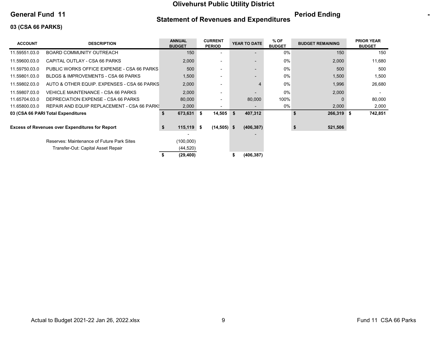### General Fund 11 **Continues And Continues Continues and Funeral Period Ending Period Ending Continues Act of Period Ending Act of Period Ending Continues Act of Period Ending Act of Period Ending Act of Period Ending Act of**

Statement of Revenues and Expenditures

## 03 (CSA 66 PARKS)

| <b>ACCOUNT</b> | <b>DESCRIPTION</b>                                     | <b>ANNUAL</b><br><b>BUDGET</b> |    | <b>CURRENT</b><br><b>PERIOD</b> | YEAR TO DATE  | $%$ OF<br><b>BUDGET</b> | <b>BUDGET REMAINING</b> | <b>PRIOR YEAR</b><br><b>BUDGET</b> |
|----------------|--------------------------------------------------------|--------------------------------|----|---------------------------------|---------------|-------------------------|-------------------------|------------------------------------|
| 11.59551.03.0  | BOARD COMMUNITY OUTREACH                               | 150                            |    |                                 |               | $0\%$                   | 150                     | 150                                |
| 11.59600.03.0  | CAPITAL OUTLAY - CSA 66 PARKS                          | 2,000                          |    | -                               |               | $0\%$                   | 2,000                   | 11,680                             |
| 11.59750.03.0  | PUBLIC WORKS OFFICE EXPENSE - CSA 66 PARKS             | 500                            |    | $\overline{\phantom{0}}$        |               | $0\%$                   | 500                     | 500                                |
| 11.59801.03.0  | BLDGS & IMPROVEMENTS - CSA 66 PARKS                    | 1,500                          |    | ٠                               |               | 0%                      | 1,500                   | 1,500                              |
| 11.59802.03.0  | AUTO & OTHER EQUIP. EXPENSES - CSA 66 PARKS            | 2,000                          |    | $\overline{\phantom{0}}$        |               | 0%                      | 1,996                   | 26,680                             |
| 11.59807.03.0  | VEHICLE MAINTENANCE - CSA 66 PARKS                     | 2,000                          |    | ۰                               |               | 0%                      | 2,000                   |                                    |
| 11.65704.03.0  | DEPRECIATION EXPENSE - CSA 66 PARKS                    | 80,000                         |    | -                               | 80,000        | 100%                    | $\Omega$                | 80,000                             |
| 11.65800.03.0  | REPAIR AND EQUIP REPLACEMENT - CSA 66 PARK!            | 2,000                          |    |                                 |               | 0%                      | 2,000                   | 2,000                              |
|                | 03 (CSA 66 PARI Total Expenditures                     | \$<br>673,631                  | S. | 14,505                          | \$<br>407,312 |                         | \$<br>266,319           | 742,851<br>- \$                    |
|                | <b>Excess of Revenues over Expenditures for Report</b> | $115,119$ \$<br>\$             |    | $(14,505)$ \$                   | (406, 387)    |                         | 521,506<br>\$           |                                    |
|                | Reserves: Maintenance of Future Park Sites             | (100,000)                      |    |                                 |               |                         |                         |                                    |
|                | Transfer-Out: Capital Asset Repair                     | (44, 520)                      |    |                                 |               |                         |                         |                                    |
|                |                                                        | (29, 400)                      |    |                                 | (406, 387)    |                         |                         |                                    |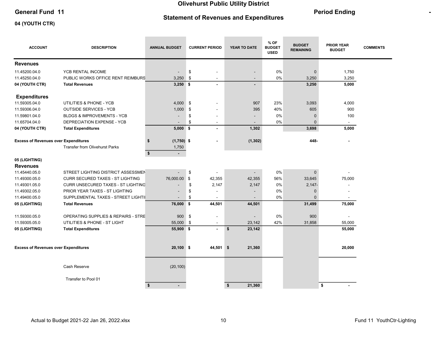### General Fund 11 **Contract Contract Contract Contract Contract Contract Contract Contract Contract Contract Contract Contract Contract Contract Contract Contract Contract Contract Contract Contract Contract Contract Contrac**

### Statement of Revenues and Expenditures

the control of the control of

#### 04 (YOUTH CTR)

**Contract Contract Contract** 

| <b>ACCOUNT</b>                              | <b>DESCRIPTION</b>                             | <b>ANNUAL BUDGET</b>          | <b>CURRENT PERIOD</b>          | YEAR TO DATE             | % OF<br><b>BUDGET</b><br><b>USED</b> | <b>BUDGET</b><br><b>REMAINING</b> | <b>PRIOR YEAR</b><br><b>BUDGET</b> | <b>COMMENTS</b> |
|---------------------------------------------|------------------------------------------------|-------------------------------|--------------------------------|--------------------------|--------------------------------------|-----------------------------------|------------------------------------|-----------------|
| <b>Revenues</b>                             |                                                |                               |                                |                          |                                      |                                   |                                    |                 |
| 11.45200.04.0                               | YCB RENTAL INCOME                              | $\overline{\phantom{a}}$      | \$                             | $\overline{\phantom{a}}$ | 0%                                   | $\mathbf 0$                       | 1,750                              |                 |
| 11.45250.04.0                               | PUBLIC WORKS OFFICE RENT REIMBURS              | 3,250                         | \$                             | $\overline{a}$           | 0%                                   | 3,250                             | 3,250                              |                 |
| 04 (YOUTH CTR)                              | <b>Total Revenues</b>                          | $3,250$ \$                    |                                | $\blacksquare$           |                                      | 3,250                             | 5,000                              |                 |
| <b>Expenditures</b>                         |                                                |                               |                                |                          |                                      |                                   |                                    |                 |
| 11.59305.04.0                               | UTILITIES & PHONE - YCB                        | 4,000                         | \$                             | 907                      | 23%                                  | 3,093                             | 4,000                              |                 |
| 11.59306.04.0                               | <b>OUTSIDE SERVICES - YCB</b>                  | 1,000                         | \$                             | 395                      | 40%                                  | 605                               | 900                                |                 |
| 11.59801.04.0                               | <b>BLDGS &amp; IMPROVEMENTS - YCB</b>          |                               | \$                             | $\blacksquare$           | 0%                                   | $\mathbf 0$                       | 100                                |                 |
| 11.65704.04.0                               | DEPRECIATION EXPENSE - YCB                     |                               | \$<br>$\overline{\phantom{a}}$ | $\overline{\phantom{a}}$ | 0%                                   | $\Omega$                          | $\sim$                             |                 |
| 04 (YOUTH CTR)                              | <b>Total Expenditures</b>                      | $5,000$ \$                    |                                | 1,302                    |                                      | 3,698                             | 5,000                              |                 |
| <b>Excess of Revenues over Expenditures</b> |                                                | $(1,750)$ \$<br>\$            |                                | (1, 302)                 |                                      | 448-                              |                                    |                 |
|                                             | <b>Transfer from Olivehurst Parks</b>          | 1,750<br>\$<br>$\blacksquare$ |                                |                          |                                      |                                   |                                    |                 |
| 05 (LIGHTING)                               |                                                |                               |                                |                          |                                      |                                   |                                    |                 |
| <b>Revenues</b>                             |                                                |                               |                                |                          |                                      |                                   |                                    |                 |
| 11.45440.05.0                               | STREET LIGHTING DISTRICT ASSESSMEN             |                               | \$                             |                          | 0%                                   | $\mathbf{0}$                      |                                    |                 |
| 11.49300.05.0                               | <b>CURR SECURED TAXES - ST LIGHTING</b>        | 76,000.00                     | \$<br>42,355                   | 42,355                   | 56%                                  | 33,645                            | 75,000                             |                 |
| 11.49301.05.0                               | CURR UNSECURED TAXES - ST LIGHTING             |                               | \$<br>2,147                    | 2,147                    | 0%                                   | $2,147-$                          |                                    |                 |
| 11.49302.05.0                               | PRIOR YEAR TAXES - ST LIGHTING                 |                               | \$                             |                          | 0%                                   | $\mathbf{0}$                      |                                    |                 |
| 11.49400.05.0                               | SUPPLEMENTAL TAXES - STREET LIGHTII            |                               | \$                             |                          | 0%                                   | $\Omega$                          |                                    |                 |
| 05 (LIGHTING)                               | <b>Total Revenues</b>                          | 76,000 \$                     | 44,501                         | 44,501                   |                                      | 31,499                            | 75,000                             |                 |
| 11.59300.05.0                               | <b>OPERATING SUPPLIES &amp; REPAIRS - STRE</b> | 900                           | \$<br>$\blacksquare$           |                          | 0%                                   | 900                               |                                    |                 |
| 11.59305.05.0                               | UTILITIES & PHONE - ST LIGHT                   | 55,000                        | \$                             | 23,142                   | 42%                                  | 31,858                            | 55,000                             |                 |
| 05 (LIGHTING)                               | <b>Total Expenditures</b>                      | 55,900 \$                     | $\sim$                         | \$<br>23,142             |                                      |                                   | 55,000                             |                 |
| <b>Excess of Revenues over Expenditures</b> |                                                | $20,100$ \$                   | 44,501 \$                      | 21,360                   |                                      |                                   | 20,000                             |                 |
|                                             |                                                |                               |                                |                          |                                      |                                   |                                    |                 |
|                                             | Cash Reserve                                   | (20, 100)                     |                                |                          |                                      |                                   |                                    |                 |
|                                             | Transfer to Pool 01                            |                               |                                |                          |                                      |                                   |                                    |                 |
|                                             |                                                | \$                            |                                | 21,360<br>\$             |                                      |                                   | \$                                 |                 |

and the control of the control of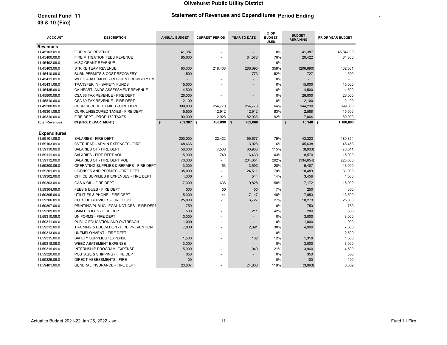### General Fund 11 **Period Ending Statement of Revenues and Expenditures Period Ending Period 11**

# 09 & 10 (Fire)

| <b>ACCOUNT</b>        | <b>DESCRIPTION</b>                        | <b>ANNUAL BUDGET</b>     | <b>CURRENT PERIOD</b> | YEAR TO DATE | % OF<br><b>BUDGET</b><br><b>USED</b> | <b>BUDGET</b><br><b>REMAINING</b> | PRIOR YEAR BUDGET |
|-----------------------|-------------------------------------------|--------------------------|-----------------------|--------------|--------------------------------------|-----------------------------------|-------------------|
| <b>Revenues</b>       |                                           |                          |                       |              |                                      |                                   |                   |
| 11.45103.09.0         | <b>FIRE MISC REVENUE</b>                  | 41,387                   |                       |              | 0%                                   | 41,387                            | 45,842.00         |
| 11.45400.09.0         | FIRE MITIGATION FEES REVENUE              | 85,000                   |                       | 64,578       | 76%                                  | 20,422                            | 84,860            |
| 11.45402.09.0         | MISC GRANT REVENUE                        |                          |                       |              | 0%                                   |                                   |                   |
| 11.45403.09.0         | <b>STRIKE TEAM REVENUE</b>                | 80,000                   | 218,408               | 286,690      | 358%                                 | (206, 690)                        | 432,581           |
| 11.45410.09.0         | BURN PERMITS & COST RECOVERY              | 1,500                    |                       | 773          | 52%                                  | 727                               | 1,500             |
| 11.45411.09.0         | WEED ABATEMENT - RESIDENT REIMBURSEME     |                          |                       |              | 0%                                   |                                   |                   |
| 11.45431.09.0         | TRANSFER IN - SAFETY FUNDS                | 15,000                   |                       |              | 0%                                   | 15,000                            | 15,000            |
| 11.45435.09.0         | CA HEARTLANDS ASSESSMENT REVENUE          | 4,500                    |                       |              | 0%                                   | 4,500                             | 4,500             |
| 11.45800.09.0         | CSA 66 TAX REVENUE - FIRE DEPT            | 26,000                   |                       | ÷            | 0%                                   | 26,000                            | 26,000            |
| 11.45810.09.0         | CSA 69 TAX REVENUE - FIRE DEPT            | 2,100                    |                       |              | 0%                                   | 2,100                             | 2,100             |
| 11.49300.09.0         | <b>CURR SECURED TAXES - FIRE DEPT</b>     | 399,000                  | 254,770               | 254,770      | 64%                                  | 144,230                           | 399,000           |
| 11.49301.09.0         | CURR UNSECURED TAXES - FIRE DEPT          | 15,500                   | 12,912                | 12,912       | 83%                                  | 2,588                             | 15,500            |
| 11.49310.09.0         | FIRE DEPT - PROP 172 TAXES                | 90,000                   | 12,928                | 82,936       | 92%                                  | 7,064                             | 80,000            |
| <b>Total Revenues</b> | 09 (FIRE DEPARTMENT)                      | \$<br>759,987 \$         | 486,090 \$            | 702,660      |                                      | \$<br>15,940 \$                   | 1,106,883         |
|                       |                                           |                          |                       |              |                                      |                                   |                   |
| <b>Expenditures</b>   |                                           |                          |                       |              |                                      |                                   |                   |
| 11.59101.09.0         | SALARIES - FIRE DEPT                      | 203,000                  | 22,422                | 159,677      | 79%                                  | 43,323                            | 180.854           |
| 11.59103.09.0         | OVERHEAD - ADMIN EXPENSES - FIRE          | 48,666                   |                       | 3,028        | 6%                                   | 45,638                            | 46,458            |
| 11.59110.09.0         | SALARIES OT - FIRE DEPT                   | 58,000                   | 7,538                 | 66,933       | 115%                                 | (8,933)                           | 78,511            |
| 11.59111.09.0         | SALARIES - FIRE DEPT VOL                  | 15,000                   | 749                   | 6,430        | 43%                                  | 8,570                             | 15,000            |
| 11.59112.09.0         | SALARIES OT - FIRE DEPT VOL               | 70,000                   |                       | 204,654      | 292%                                 | (134, 654)                        | 223,000           |
| 11.59300.09.0         | OPERATING SUPPLIES & REPAIRS - FIRE DEPT  | 13,000                   | 53                    | 3,593        | 28%                                  | 9,407                             | 13,000            |
| 11.59301.09.0         | LICENSES AND PERMITS - FIRE DEPT          | 35,000                   |                       | 24,511       | 70%                                  | 10,489                            | 31,000            |
| 11.59302.09.0         | OFFICE SUPPLIES & EXPENSES - FIRE DEPT    | 4,000                    |                       | 544          | 14%                                  | 3,456                             | 4,000             |
| 11.59303.09.0         | GAS & OIL - FIRE DEPT                     | 17,000                   | 636                   | 9,828        | 58%                                  | 7,172                             | 15,000            |
| 11.59304.09.0         | FEES & DUES - FIRE DEPT                   | 300                      | 50                    | 50           | 17%                                  | 250                               | 300               |
| 11.59305.09.0         | UTILITIES & PHONE - FIRE DEPT             | 15,000                   | 44                    | 7,147        | 48%                                  | 7,853                             | 13,500            |
| 11.59306.09.0         | <b>OUTSIDE SERVICES - FIRE DEPT</b>       | 25,000                   |                       | 6,727        | 27%                                  | 18,273                            | 25,000            |
| 11.59307.09.0         | PRINTING/PUBLIC/LEGAL NOTICES - FIRE DEPT | 750                      |                       |              | 0%                                   | 750                               | 750               |
| 11.59309.09.0         | SMALL TOOLS - FIRE DEPT                   | 500                      |                       | 211          | 42%                                  | 289                               | 500               |
| 11.59310.09.0         | UNIFORMS - FIRE DEPT                      | 3,000                    |                       |              | 0%                                   | 3,000                             | 3,000             |
| 11.59311.09.0         | PUBLIC EDUCATION AND OUTREACH             | 1,000                    |                       |              | 0%                                   | 1,000                             | 1,000             |
| 11.59312.09.0         | TRAINING & EDUCATION - FIRE PREVENTION    | 7,000                    |                       | 2,091        | 30%                                  | 4,909                             | 7,000             |
| 11.59313.09.0         | UNEMPLOYMENT - FIRE DEPT                  | $\overline{\phantom{a}}$ |                       |              | 0%                                   |                                   | 2,500             |
| 11.59315.09.0         | SAFETY SUPPLIES / EXPENSE                 | 1,500                    |                       | 182          | 12%                                  | 1,318                             | 1,500             |
| 11.59318.09.0         | WEED ABATEMENT EXPENSE                    | 3,000                    |                       |              | 0%                                   | 3,000                             | 3,000             |
| 11.59319.09.0         | <b>INTERNSHIP PROGRAM EXPENSE</b>         | 5,000                    |                       | 1,040        | 21%                                  | 3,960                             | 4,500             |
| 11.59320.09.0         | POSTAGE & SHIPPING - FIRE DEPT            | 350                      |                       |              | 0%                                   | 350                               | 350               |
| 11.59325.09.0         | DIRECT ASSESSMENTS - FIRE                 | 100                      |                       |              | 0%                                   | 100                               | 100               |
| 11.59401.09.0         | GENERAL INSURANCE - FIRE DEPT             | 20,807                   |                       | 24,800       | 119%                                 | (3,993)                           | 6,002             |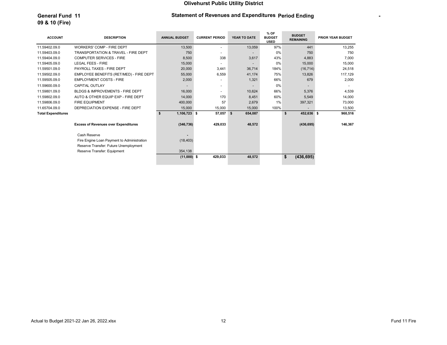#### General Fund 11 **Period Ending Statement of Revenues and Expenditures Period Ending Period Filters**

# 09 & 10 (Fire)

| <b>ACCOUNT</b>            | <b>DESCRIPTION</b>                             | <b>ANNUAL BUDGET</b> | <b>CURRENT PERIOD</b>    | YEAR TO DATE   | % OF<br><b>BUDGET</b><br><b>USED</b> | <b>BUDGET</b><br><b>REMAINING</b> | <b>PRIOR YEAR BUDGET</b> |
|---------------------------|------------------------------------------------|----------------------|--------------------------|----------------|--------------------------------------|-----------------------------------|--------------------------|
| 11.59402.09.0             | <b>WORKERS' COMP - FIRE DEPT</b>               | 13,500               |                          | 13,059         | 97%                                  | 441                               | 13,255                   |
| 11.59403.09.0             | <b>TRANSPORTATION &amp; TRAVEL - FIRE DEPT</b> | 750                  |                          |                | $0\%$                                | 750                               | 750                      |
| 11.59404.09.0             | <b>COMPUTER SERVICES - FIRE</b>                | 8.500                | 338                      | 3,617          | 43%                                  | 4.883                             | 7,000                    |
| 11.59405.09.0             | LEGAL FEES - FIRE                              | 15,000               |                          | $\overline{a}$ | $0\%$                                | 15,000                            | 15,000                   |
| 11.59501.09.0             | PAYROLL TAXES - FIRE DEPT                      | 20,000               | 3,441                    | 36,714         | 184%                                 | (16, 714)                         | 24,518                   |
| 11.59502.09.0             | EMPLOYEE BENEFITS (RET/MED) - FIRE DEPT        | 55,000               | 6,559                    | 41,174         | 75%                                  | 13,826                            | 117,129                  |
| 11.59505.09.0             | <b>EMPLOYMENT COSTS - FIRE</b>                 | 2,000                |                          | 1,321          | 66%                                  | 679                               | 2,000                    |
| 11.59600.09.0             | <b>CAPITAL OUTLAY</b>                          |                      | $\overline{\phantom{a}}$ |                | $0\%$                                |                                   |                          |
| 11.59801.09.0             | <b>BLDGS &amp; IMPROVEMENTS - FIRE DEPT</b>    | 16,000               |                          | 10,624         | 66%                                  | 5,376                             | 4,539                    |
| 11.59802.09.0             | AUTO & OTHER EQUIP EXP - FIRE DEPT             | 14,000               | 170                      | 8,451          | 60%                                  | 5,549                             | 14,000                   |
| 11.59806.09.0             | <b>FIRE EQUIPMENT</b>                          | 400,000              | 57                       | 2,679          | 1%                                   | 397,321                           | 73,000                   |
| 11.65704.09.0             | DEPRECIATION EXPENSE - FIRE DEPT               | 15,000               | 15,000                   | 15,000         | 100%                                 | $\overline{\phantom{a}}$          | 13,500                   |
| <b>Total Expenditures</b> |                                                | 1,106,723 \$<br>\$   | 57,057                   | \$<br>654,087  |                                      | 452,636 \$<br>\$                  | 960,516                  |
|                           | <b>Excess of Revenues over Expenditures</b>    | (346, 736)           | 429,033                  | 48,572         |                                      | (436, 695)                        | 146,367                  |
|                           | Cash Reserve                                   |                      |                          |                |                                      |                                   |                          |
|                           | Fire Engine Loan Payment to Administration     | (18, 403)            |                          |                |                                      |                                   |                          |
|                           | Reserve Transfer: Future Unemployment          |                      |                          |                |                                      |                                   |                          |
|                           | Reserve Transfer: Equipment                    | 354,138              |                          |                |                                      |                                   |                          |
|                           |                                                | $(11,000)$ \$        | 429,033                  | 48,572         |                                      | \$<br>(436, 695)                  |                          |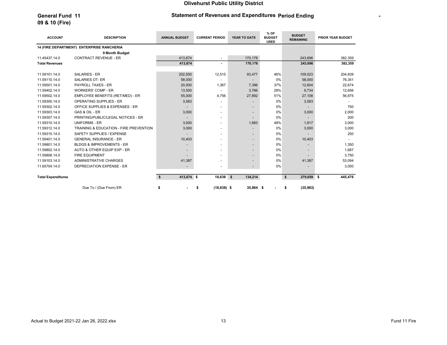### General Fund 11 **Period Ending Statement of Revenues and Expenditures Period Ending Period 11**

# 09 & 10 (Fire)

| <b>ACCOUNT</b>            | <b>DESCRIPTION</b>                        | <b>ANNUAL BUDGET</b> | <b>CURRENT PERIOD</b>    | YEAR TO DATE             | % OF<br><b>BUDGET</b><br><b>USED</b> | <b>BUDGET</b><br><b>REMAINING</b> | <b>PRIOR YEAR BUDGET</b> |
|---------------------------|-------------------------------------------|----------------------|--------------------------|--------------------------|--------------------------------------|-----------------------------------|--------------------------|
|                           | 14 (FIRE DEPARTMENT) ENTERPRISE RANCHERIA |                      |                          |                          |                                      |                                   |                          |
|                           | 9 Month Budget                            |                      |                          |                          |                                      |                                   |                          |
| 11.45437.14.0             | <b>CONTRACT REVENUE - ER</b>              | 413.874              | $\overline{\phantom{a}}$ | 170.178                  |                                      | 243,696                           | 382,359                  |
| <b>Total Revenues</b>     |                                           | 413,874              | $\blacksquare$           | 170,178                  |                                      | 243,696                           | 382,359                  |
|                           |                                           |                      |                          |                          |                                      |                                   |                          |
| 11.59101.14.0             | <b>SALARIES - ER</b>                      | 202,500              | 12,515                   | 93,477                   | 46%                                  | 109,023                           | 204,839                  |
| 11.59110.14.0             | <b>SALARIES OT- ER</b>                    | 58,000               |                          |                          | 0%                                   | 58,000                            | 76,351                   |
| 11.59501.14.0             | <b>PAYROLL TAXES - ER</b>                 | 20,000               | 1,367                    | 7.396                    | 37%                                  | 12,604                            | 22,674                   |
| 11.59402.14.0             | <b>WORKERS' COMP - ER</b>                 | 13,500               |                          | 3,766                    | 28%                                  | 9,734                             | 12,656                   |
| 11.59502.14.0             | EMPLOYEE BENEFITS (RET/MED) - ER          | 55,000               | 4,756                    | 27,892                   | 51%                                  | 27,108                            | 56,875                   |
| 11.59300.14.0             | <b>OPERATING SUPPLIES - ER</b>            | 3,583                |                          |                          | 0%                                   | 3,583                             |                          |
| 11.59302.14.0             | OFFICE SUPPLIES & EXPENSES - ER           |                      |                          |                          | 0%                                   |                                   | 750                      |
| 11.59303.14.0             | GAS & OIL - ER                            | 3,000                |                          |                          | 0%                                   | 3.000                             | 2,000                    |
| 11.59307.14.0             | PRINTING/PUBLIC/LEGAL NOTICES - ER        |                      | $\overline{\phantom{a}}$ |                          | 0%                                   |                                   | 200                      |
| 11.59310.14.0             | <b>UNIFORMS - ER</b>                      | 3,500                |                          | 1,683                    | 48%                                  | 1,817                             | 3,000                    |
| 11.59312.14.0             | TRAINING & EDUCATION - FIRE PREVENTION    | 3,000                | $\overline{\phantom{a}}$ |                          | 0%                                   | 3,000                             | 3,000                    |
| 11.59315.14.0             | SAFETY SUPPLIES / EXPENSE                 |                      | $\overline{\phantom{a}}$ |                          | 0%                                   |                                   | 250                      |
| 11.59401.14.0             | <b>GENERAL INSURANCE - ER</b>             | 10,403               |                          |                          | 0%                                   | 10,403                            |                          |
| 11.59801.14.0             | <b>BLDGS &amp; IMPROVEMENTS - ER</b>      |                      |                          |                          | 0%                                   |                                   | 1,350                    |
| 11.59802.14.0             | AUTO & OTHER EQUIP EXP - ER               |                      |                          |                          | 0%                                   |                                   | 1,687                    |
| 11.59806.14.0             | <b>FIRE EQUIPMENT</b>                     |                      |                          |                          | 0%                                   |                                   | 3,750                    |
| 11.59103.14.0             | ADMINISTRATIVE CHARGES                    | 41,387               |                          |                          | 0%                                   | 41,387                            | 53,094                   |
| 11.65704.14.0             | DEPRECIATION EXPENSE - ER                 |                      |                          | $\overline{\phantom{a}}$ | 0%                                   |                                   | 3,000                    |
|                           |                                           |                      |                          |                          |                                      |                                   |                          |
| <b>Total Expenditures</b> |                                           | 413,874 \$<br>Ŝ.     | 18,638                   | $\sqrt{5}$<br>134,214    |                                      | \$<br>279,659 \$                  | 445,476                  |
|                           | Due To / (Due From) ER                    | \$<br>٠              | $(18, 638)$ \$<br>\$     | 35,964 \$                |                                      | (35, 963)<br>\$                   |                          |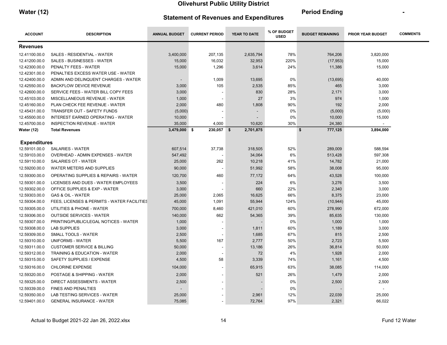| <b>Water (12)</b> |                                               | <b>Period Ending</b> |  |
|-------------------|-----------------------------------------------|----------------------|--|
|                   | <b>Statement of Revenues and Expenditures</b> |                      |  |

| <b>ACCOUNT</b>      | <b>DESCRIPTION</b>                              | <b>ANNUAL BUDGET</b> | <b>CURRENT PERIOD</b> | YEAR TO DATE | % OF BUDGET<br><b>USED</b> | <b>BUDGET REMAINING</b> | <b>PRIOR YEAR BUDGET</b> | <b>COMMENTS</b> |
|---------------------|-------------------------------------------------|----------------------|-----------------------|--------------|----------------------------|-------------------------|--------------------------|-----------------|
| <b>Revenues</b>     |                                                 |                      |                       |              |                            |                         |                          |                 |
| 12.41100.00.0       | SALES - RESIDENTIAL - WATER                     | 3,400,000            | 207,135               | 2,635,794    | 78%                        | 764,206                 | 3,820,000                |                 |
| 12.41200.00.0       | <b>SALES - BUSINESSES - WATER</b>               | 15,000               | 16,032                | 32,953       | 220%                       | (17, 953)               | 15,000                   |                 |
| 12.42300.00.0       | PENALTY FEES - WATER                            | 15,000               | 1,296                 | 3,614        | 24%                        | 11,386                  | 15,000                   |                 |
| 12.42301.00.0       | PENALTIES EXCESS WATER USE - WATER              |                      |                       |              |                            |                         |                          |                 |
| 12.42400.00.0       | ADMIN AND DELINQUENT CHARGES - WATER            |                      | 1,009                 | 13,695       | 0%                         | (13, 695)               | 40,000                   |                 |
| 12.42550.00.0       | <b>BACKFLOW DEVICE REVENUE</b>                  | 3,000                | 105                   | 2,535        | 85%                        | 465                     | 3,000                    |                 |
| 12.42600.00.0       | SERVICE FEES - WATER BILL COPY FEES             | 3,000                |                       | 830          | 28%                        | 2,171                   | 3,000                    |                 |
| 12.45103.00.0       | MISCELLANEOUS REVENUE - WATER                   | 1,000                |                       | 27           | 3%                         | 974                     | 1,000                    |                 |
| 12.45160.00.0       | PLAN CHECK FEE REVENUE - WATER                  | 2,000                | 480                   | 1,808        | 90%                        | 192                     | 2,000                    |                 |
| 12.45431.00.0       | <b>TRANSFER OUT - SAFETY FUNDS</b>              | (5,000)              |                       |              | 0%                         | (5,000)                 | (5,000)                  |                 |
| 12.45500.00.0       | INTEREST EARNED OPERATING - WATER               | 10,000               |                       |              | 0%                         | 10,000                  | 15,000                   |                 |
| 12.45700.00.0       | <b>INSPECTION REVENUE - WATER</b>               | 35,000               | 4,000                 | 10,620       | 30%                        | 24,380                  | $\sim$                   |                 |
| <b>Water (12)</b>   | <b>Total Revenues</b>                           | $3,479,000$ \$       | 230,057 \$            | 2,701,875    |                            | \$<br>777,125           | 3,894,000                |                 |
| <b>Expenditures</b> |                                                 |                      |                       |              |                            |                         |                          |                 |
| 12.59101.00.0       | SALARIES - WATER                                | 607,514              | 37,738                | 318,505      | 52%                        | 289,009                 | 588,594                  |                 |
| 12.59103.00.0       | OVERHEAD - ADMIN EXPENSES - WATER               | 547,492              |                       | 34,064       | 6%                         | 513,428                 | 597,308                  |                 |
| 12.59110.00.0       | <b>SALARIES OT - WATER</b>                      | 25,000               | 262                   | 10,218       | 41%                        | 14,782                  | 21,000                   |                 |
| 12.59200.00.0       | WATER METERS AND SUPPLIES                       | 90,000               |                       | 51,992       | 58%                        | 38,008                  | 95,000                   |                 |
| 12.59300.00.0       | <b>OPERATING SUPPLIES &amp; REPAIRS - WATER</b> | 120,700              | 460                   | 77,172       | 64%                        | 43,528                  | 100,000                  |                 |
| 12.59301.00.0       | LICENSES AND DUES - WATER EMPLOYEES             | 3,500                |                       | 224          | 6%                         | 3,276                   | 3,500                    |                 |
| 12.59302.00.0       | <b>OFFICE SUPPLIES &amp; EXP - WATER</b>        | 3,000                |                       | 660          | 22%                        | 2,340                   | 3,000                    |                 |
| 12.59303.00.0       | <b>GAS &amp; OIL - WATER</b>                    | 25,000               | 2,065                 | 16,625       | 66%                        | 8,375                   | 23,000                   |                 |
| 12.59304.00.0       | FEES, LICENSES & PERMITS - WATER FACILITIES     | 45,000               | 1,091                 | 55,944       | 124%                       | (10, 944)               | 45,000                   |                 |
| 12.59305.00.0       | UTILITIES & PHONE - WATER                       | 700,000              | 8,460                 | 421,010      | 60%                        | 278,990                 | 672,000                  |                 |
| 12.59306.00.0       | <b>OUTSIDE SERVICES - WATER</b>                 | 140,000              | 662                   | 54,365       | 39%                        | 85,635                  | 130,000                  |                 |
| 12.59307.00.0       | PRINTING/PUBLIC/LEGAL NOTICES - WATER           | 1,000                |                       |              | 0%                         | 1,000                   | 1,000                    |                 |
| 12.59308.00.0       | <b>LAB SUPPLIES</b>                             | 3,000                |                       | 1,811        | 60%                        | 1,189                   | 3,000                    |                 |
| 12.59309.00.0       | <b>SMALL TOOLS - WATER</b>                      | 2,500                |                       | 1,685        | 67%                        | 815                     | 2,500                    |                 |
| 12.59310.00.0       | <b>UNIFORMS - WATER</b>                         | 5,500                | 167                   | 2,777        | 50%                        | 2,723                   | 5,500                    |                 |
| 12.59311.00.0       | <b>CUSTOMER SERVICE &amp; BILLING</b>           | 50,000               |                       | 13,186       | 26%                        | 36,814                  | 50,000                   |                 |
| 12.59312.00.0       | TRAINING & EDUCATION - WATER                    | 2,000                |                       | 72           | 4%                         | 1,928                   | 2,000                    |                 |
| 12.59315.00.0       | SAFETY SUPPLIES / EXPENSE                       | 4,500                | 58                    | 3,339        | 74%                        | 1,161                   | 4,500                    |                 |
| 12.59316.00.0       | <b>CHLORINE EXPENSE</b>                         | 104,000              |                       | 65,915       | 63%                        | 38,085                  | 114,000                  |                 |
| 12.59320.00.0       | POSTAGE & SHIPPING - WATER                      | 2,000                |                       | 521          | 26%                        | 1,479                   | 2,000                    |                 |
| 12.59325.00.0       | <b>DIRECT ASSESSMENTS - WATER</b>               | 2,500                |                       |              | 0%                         | 2,500                   | 2,500                    |                 |
| 12.59339.00.0       | <b>FINES AND PENALTIES</b>                      |                      |                       |              | 0%                         |                         |                          |                 |
| 12.59350.00.0       | LAB TESTING SERVICES - WATER                    | 25,000               |                       | 2,961        | 12%                        | 22,039                  | 25,000                   |                 |
| 12.59401.00.0       | <b>GENERAL INSURANCE - WATER</b>                | 75,085               |                       | 72,764       | 97%                        | 2,321                   | 66,022                   |                 |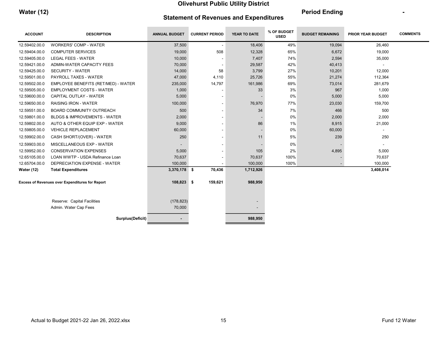| <b>Water (12)</b> |                                               | <b>Period Ending</b> |  |
|-------------------|-----------------------------------------------|----------------------|--|
|                   | <b>Statement of Revenues and Expenditures</b> |                      |  |

| <b>ACCOUNT</b>    | <b>DESCRIPTION</b>                              | <b>ANNUAL BUDGET</b> | <b>CURRENT PERIOD</b> | YEAR TO DATE | % OF BUDGET<br><b>USED</b> | <b>BUDGET REMAINING</b> | <b>PRIOR YEAR BUDGET</b> | <b>COMMENTS</b> |
|-------------------|-------------------------------------------------|----------------------|-----------------------|--------------|----------------------------|-------------------------|--------------------------|-----------------|
| 12.59402.00.0     | <b>WORKERS' COMP - WATER</b>                    | 37,500               | $\blacksquare$        | 18,406       | 49%                        | 19,094                  | 26,460                   |                 |
| 12.59404.00.0     | <b>COMPUTER SERVICES</b>                        | 19,000               | 508                   | 12,328       | 65%                        | 6,672                   | 19,000                   |                 |
| 12.59405.00.0     | <b>LEGAL FEES - WATER</b>                       | 10,000               |                       | 7,407        | 74%                        | 2,594                   | 35,000                   |                 |
| 12.59421.00.0     | ADMIN-WATER CAPACITY FEES                       | 70,000               |                       | 29,587       | 42%                        | 40,413                  |                          |                 |
| 12.59425.00.0     | <b>SECURITY - WATER</b>                         | 14,000               | 58                    | 3,799        | 27%                        | 10,201                  | 12,000                   |                 |
| 12.59501.00.0     | <b>PAYROLL TAXES - WATER</b>                    | 47,000               | 4,110                 | 25,726       | 55%                        | 21,274                  | 112,364                  |                 |
| 12.59502.00.0     | EMPLOYEE BENEFITS (RET/MED) - WATER             | 235,000              | 14,797                | 161,986      | 69%                        | 73,014                  | 281,679                  |                 |
| 12.59505.00.0     | <b>EMPLOYMENT COSTS - WATER</b>                 | 1,000                |                       | 33           | 3%                         | 967                     | 1,000                    |                 |
| 12.59600.00.0     | CAPITAL OUTLAY - WATER                          | 5,000                |                       |              | 0%                         | 5,000                   | 5,000                    |                 |
| 12.59650.00.0     | <b>RAISING IRON - WATER</b>                     | 100,000              |                       | 76,970       | 77%                        | 23,030                  | 159,700                  |                 |
| 12.59551.00.0     | <b>BOARD COMMUNITY OUTREACH</b>                 | 500                  |                       | 34           | 7%                         | 466                     | 500                      |                 |
| 12.59801.00.0     | <b>BLDGS &amp; IMPROVEMENTS - WATER</b>         | 2,000                |                       |              | 0%                         | 2,000                   | 2,000                    |                 |
| 12.59802.00.0     | AUTO & OTHER EQUIP EXP - WATER                  | 9,000                |                       | 86           | 1%                         | 8,915                   | 21,000                   |                 |
| 12.59805.00.0     | <b>VEHICLE REPLACEMENT</b>                      | 60,000               |                       | -            | 0%                         | 60,000                  | $\overline{\phantom{a}}$ |                 |
| 12.59902.00.0     | CASH SHORT/(OVER) - WATER                       | 250                  |                       | 11           | 5%                         | 239                     | 250                      |                 |
| 12.59903.00.0     | MISCELLANEOUS EXP - WATER                       |                      |                       |              | 0%                         |                         | $\blacksquare$           |                 |
| 12.59952.00.0     | <b>CONSERVATION EXPENSES</b>                    | 5,000                |                       | 105          | 2%                         | 4,895                   | 5,000                    |                 |
| 12.65105.00.0     | LOAN WWTP - USDA Refinance Loan                 | 70,637               |                       | 70,637       | 100%                       |                         | 70,637                   |                 |
| 12.65704.00.0     | DEPRECIATION EXPENSE - WATER                    | 100,000              |                       | 100,000      | 100%                       |                         | 100,000                  |                 |
| <b>Water (12)</b> | <b>Total Expenditures</b>                       | 3,370,178 \$         | 70,436                | 1,712,926    |                            |                         | 3,408,014                |                 |
|                   | Excess of Revenues over Expenditures for Report | 108,823 \$           | 159,621               | 988,950      |                            |                         |                          |                 |
|                   | Reserve: Capital Facilities                     | (178, 823)           |                       |              |                            |                         |                          |                 |
|                   | Admin. Water Cap Fees                           | 70,000               |                       |              |                            |                         |                          |                 |
|                   | Surplus(Deficit)                                |                      |                       | 988,950      |                            |                         |                          |                 |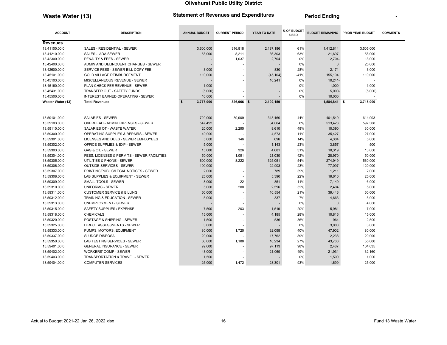### Waste Water (13) The Statement of Revenues and Expenditures Feriod Ending Article 13

| <b>ACCOUNT</b>    | <b>DESCRIPTION</b>                          | <b>ANNUAL BUDGET</b> | <b>CURRENT PERIOD</b> | YEAR TO DATE | % OF BUDGET<br><b>USED</b> |                | <b>BUDGET REMAINING PRIOR YEAR BUDGET</b> | <b>COMMENTS</b> |
|-------------------|---------------------------------------------|----------------------|-----------------------|--------------|----------------------------|----------------|-------------------------------------------|-----------------|
| <b>Revenues</b>   |                                             |                      |                       |              |                            |                |                                           |                 |
| 13.41100.00.0     | SALES - RESIDENTIAL - SEWER                 | 3,600,000            | 316,818               | 2,187,186    | 61%                        | 1,412,814      | 3,505,000                                 |                 |
| 13.41210.00.0     | SALES - ADA SEWER                           | 58,000               | 8,211                 | 36,303       | 63%                        | 21,697         | 58,000                                    |                 |
| 13.42300.00.0     | PENALTY & FEES - SEWER                      |                      | 1,037                 | 2,704        | 0%                         | $2,704-$       | 18,000                                    |                 |
| 13.42400.00.0     | ADMIN AND DELINQUENT CHARGES - SEWER        |                      |                       |              | 0%                         | $\Omega$       | 25,000                                    |                 |
| 13.42600.00.0     | SERVICE FEES - SEWER BILL COPY FEE          | 3,000                |                       | 830          | 28%                        | 2,171          | 3,000                                     |                 |
| 13.45101.00.0     | <b>GOLD VILLAGE REIMBURSEMENT</b>           | 110,000              |                       | (45, 104)    | $-41%$                     | 155,104        | 110,000                                   |                 |
| 13.45103.00.0     | MISCELLANEOUS REVENUE - SEWER               |                      |                       | 10,241       | 0%                         | $10,241 -$     |                                           |                 |
| 13.45160.00.0     | PLAN CHECK FEE REVENUE - SEWER              | 1,000                |                       |              | 0%                         | 1,000          | 1,000                                     |                 |
| 13.45431.00.0     | <b>TRANSFER OUT - SAFETY FUNDS</b>          | (5,000)              |                       |              | 0%                         | $5,000-$       | (5,000)                                   |                 |
| 13.45500.00.0     | <b>INTEREST EARNED OPERATING - SEWER</b>    | 10.000               |                       |              | 0%                         | 10.000         |                                           |                 |
| Waster Water (13) | <b>Total Revenues</b>                       | 3,777,000<br>- \$    | 326,066 \$            | 2,192,159    |                            | $1,584,841$ \$ | 3,715,000                                 |                 |
|                   |                                             |                      |                       |              |                            |                |                                           |                 |
| 13.59101.00.0     | <b>SALARIES - SEWER</b>                     | 720,000              | 39,909                | 318,460      | 44%                        | 401,540        | 614,993                                   |                 |
| 13.59103.00.0     | OVERHEAD - ADMIN EXPENSES - SEWER           | 547,492              |                       | 34,064       | 6%                         | 513,428        | 597,308                                   |                 |
| 13.59110.00.0     | SALARIES OT - WASTE WATER                   | 20,000               | 2,295                 | 9,610        | 48%                        | 10,390         | 30,000                                    |                 |
| 13.59300.00.0     | OPERATING SUPPLIES & REPAIRS - SEWER        | 40,000               |                       | 4,573        | 11%                        | 35,427         | 27,000                                    |                 |
| 13.59301.00.0     | LICENSES AND DUES - SEWER EMPLOYEES         | 5,000                | 146                   | 696          | 14%                        | 4,304          | 5,000                                     |                 |
| 13.59302.00.0     | <b>OFFICE SUPPLIES &amp; EXP - SEWER</b>    | 5,000                |                       | 1,143        | 23%                        | 3,857          | 500                                       |                 |
| 13.59303.00.0     | <b>GAS &amp; OIL - SEWER</b>                | 15,000               | 326                   | 4,681        | 31%                        | 10,319         | 13,000                                    |                 |
| 13.59304.00.0     | FEES, LICENSES & PERMITS - SEWER FACILITIES | 50,000               | 1,091                 | 21,030       | 42%                        | 28,970         | 50,000                                    |                 |
| 13.59305.00.0     | UTILITIES & PHONE - SEWER                   | 600,000              | 8,222                 | 325,051      | 54%                        | 274,949        | 560,000                                   |                 |
| 13.59306.00.0     | <b>OUTSIDE SERVICES - SEWER</b>             | 100,000              |                       | 22,903       | 23%                        | 77,097         | 120,000                                   |                 |
| 13.59307.00.0     | PRINTING/PUBLIC/LEGAL NOTICES - SEWER       | 2.000                |                       | 789          | 39%                        | 1,211          | 2,000                                     |                 |
| 13.59308.00.0     | LAB SUPPLIES & EQUIPMENT - SEWER            | 25,000               |                       | 5,390        | 22%                        | 19.610         | 25,000                                    |                 |
| 13.59309.00.0     | <b>SMALL TOOLS - SEWER</b>                  | 8,000                | 22                    | 851          | 11%                        | 7,149          | 6,000                                     |                 |
| 13.59310.00.0     | <b>UNIFORMS - SEWER</b>                     | 5,000                | 200                   | 2,596        | 52%                        | 2,404          | 5,000                                     |                 |
| 13.59311.00.0     | <b>CUSTOMER SERVICE &amp; BILLING</b>       | 50,000               | ٠                     | 10,554       | 21%                        | 39,446         | 50,000                                    |                 |
| 13.59312.00.0     | <b>TRAINING &amp; EDUCATION - SEWER</b>     | 5,000                | ٠                     | 337          | 7%                         | 4,663          | 5,000                                     |                 |
| 13.59313.00.0     | <b>UNEMPLOYMENT - SEWER</b>                 |                      |                       |              | 0%                         | $\Omega$       | 4,000                                     |                 |
| 13.59315.00.0     | SAFETY SUPPLIES / EXPENSE                   | 7.500                | 203                   | 1.519        | 20%                        | 5.981          | 7.000                                     |                 |
| 13.59318.00.0     | <b>CHEMICALS</b>                            | 15,000               |                       | 4,185        | 28%                        | 10,815         | 15,000                                    |                 |
| 13.59320.00.0     | POSTAGE & SHIPPING - SEWER                  | 1,500                |                       | 536          | 36%                        | 964            | 2,500                                     |                 |
| 13.59325.00.0     | <b>DIRECT ASSESSMENTS - SEWER</b>           | 3,000                |                       |              | 0%                         | 3,000          | 3,000                                     |                 |
| 13.59333.00.0     | PUMPS, MOTORS, EQUIPMENT                    | 80,000               | 1,725                 | 32,098       | 40%                        | 47,902         | 80,000                                    |                 |
| 13.59337.00.0     | <b>SLUDGE DISPOSAL</b>                      | 20,000               |                       | 17,762       | 89%                        | 2,238          | 20,000                                    |                 |
| 13.59350.00.0     | LAB TESTING SERVICES - SEWER                | 60,000               | 1,188                 | 16.234       | 27%                        | 43.766         | 55,000                                    |                 |
| 13.59401.00.0     | <b>GENERAL INSURANCE - SEWER</b>            | 99,600               |                       | 97,113       | 98%                        | 2,487          | 104,035                                   |                 |
| 13.59402.00.0     | <b>WORKERS' COMP - SEWER</b>                | 43,000               |                       | 21,069       | 49%                        | 21,931         | 32,160                                    |                 |
| 13.59403.00.0     | TRANSPORTATION & TRAVEL - SEWER             | 1,500                |                       |              | 0%                         | 1,500          | 1,000                                     |                 |
| 13.59404.00.0     | <b>COMPUTER SERVICES</b>                    | 25,000               | 1,472                 | 23,301       | 93%                        | 1,699          | 25,000                                    |                 |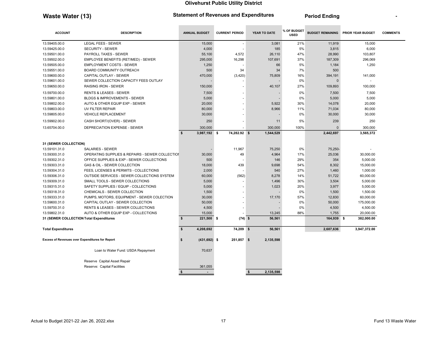### Waste Water (13) The Statement of Revenues and Expenditures Feriod Ending Article 13

| <b>ACCOUNT</b><br><b>DESCRIPTION</b>                   |                                                 | <b>ANNUAL BUDGET</b>         | <b>CURRENT PERIOD</b> | YEAR TO DATE    | % OF BUDGET<br><b>USED</b> | <b>BUDGET REMAINING</b> | <b>PRIOR YEAR BUDGET</b> | <b>COMMENTS</b> |
|--------------------------------------------------------|-------------------------------------------------|------------------------------|-----------------------|-----------------|----------------------------|-------------------------|--------------------------|-----------------|
| 13.59405.00.0                                          | <b>LEGAL FEES - SEWER</b>                       | 15,000                       | $\sim$                | 3,081           | 21%                        | 11,919                  | 15,000                   |                 |
| 13.59425.00.0                                          | <b>SECURITY - SEWER</b>                         | 4,000                        |                       | 185             | 5%                         | 3,815                   | 6,000                    |                 |
| 13.59501.00.0                                          | <b>PAYROLL TAXES - SEWER</b>                    | 55,100                       | 4,572                 | 26,110          | 47%                        | 28,990                  | 103,807                  |                 |
| 13.59502.00.0                                          | EMPLOYEE BENEFITS (RET/MED) - SEWER             | 295,000                      | 16,298                | 107,691         | 37%                        | 187,309                 | 296,069                  |                 |
| 13.59505.00.0                                          | <b>EMPLOYMENT COSTS - SEWER</b>                 | 1,250                        |                       | 66              | 5%                         | 1,184                   | 1,250                    |                 |
| 13.59551.00.0                                          | <b>BOARD COMMUNITY OUTREACH</b>                 | 500                          | 34                    | 34              | 7%                         | 500                     |                          |                 |
| 13.59600.00.0                                          | CAPITAL OUTLAY - SEWER                          | 470,000                      | (3,420)               | 75,809          | 16%                        | 394,191                 | 141,000                  |                 |
| 13.59601.00.0                                          | SEWER COLLECTION CAPACITY FEES OUTLAY           |                              |                       |                 | 0%                         | $\Omega$                |                          |                 |
| 13.59650.00.0                                          | <b>RAISING IRON - SEWER</b>                     | 150,000                      |                       | 40,107          | 27%                        | 109,893                 | 100,000                  |                 |
| 13.59700.00.0                                          | <b>RENTS &amp; LEASES - SEWER</b>               | 7,500                        |                       |                 | 0%                         | 7,500                   | 7,500                    |                 |
| 13.59801.00.0                                          | <b>BLDGS &amp; IMPROVEMENTS - SEWER</b>         | 5,000                        |                       |                 | 0%                         | 5,000                   | 5,000                    |                 |
| 13.59802.00.0                                          | AUTO & OTHER EQUIP EXP - SEWER                  | 20,000                       |                       | 5,922           | 30%                        | 14,078                  | 20,000                   |                 |
| 13.59803.00.0                                          | UV FILTER REPAIR                                | 80,000                       |                       | 8,966           | 11%                        | 71,034                  | 80,000                   |                 |
| 13.59805.00.0                                          | <b>VEHICLE REPLACEMENT</b>                      | 30,000                       |                       |                 | 0%                         | 30,000                  | 30,000                   |                 |
| 13.59902.00.0                                          | CASH SHORT/(OVER) - SEWER                       | 250                          |                       | 11              | 5%                         | 239                     | 250                      |                 |
| 13.65704.00.0                                          | DEPRECIATION EXPENSE - SEWER                    | 300,000                      |                       | 300,000         | 100%                       | $\Omega$                | 300,000                  |                 |
|                                                        |                                                 | $\mathbf{s}$<br>3,987,192 \$ | 74,282.92 \$          | 1,544,529       |                            | 2,442,697               | 3,565,372                |                 |
| 31 (SEWER COLLECTION)                                  |                                                 |                              |                       |                 |                            |                         |                          |                 |
| 13.59101.31.0                                          | SALARIES - SEWER                                |                              | 11,967                | 75,250          | 0%                         | 75,250-                 |                          |                 |
| 13.59300.31.0                                          | OPERATING SUPPLIES & REPAIRS - SEWER COLLECTION | 30,000                       | 49                    | 4,964           | 17%                        | 25,036                  | 30,000.00                |                 |
| 13.59302.31.0                                          | OFFICE SUPPLIES & EXP - SEWER COLLECTIONS       | 500                          |                       | 146             | 29%                        | 354                     | 5,000.00                 |                 |
| 13.59303.31.0                                          | GAS & OIL - SEWER COLLECTION                    | 18,000                       | 439                   | 9,698           | 54%                        | 8,302                   | 15,000.00                |                 |
| 13.59304.31.0                                          | FEES, LICENSES & PERMITS - COLLECTIONS          | 2,000                        |                       | 540             | 27%                        | 1,460                   | 1,000.00                 |                 |
| 13.59306.31.0                                          | OUTSIDE SERVICES - SEWER COLLECTIONS SYSTEM     | 60,000                       | (562)                 | 8,278           | 14%                        | 51,722                  | 60,000.00                |                 |
| 13.59309.31.0                                          | SMALL TOOLS - SEWER COLLECTIONS                 | 5,000                        |                       | 1,496           | 30%                        | 3,504                   | 5,000.00                 |                 |
| 13.59315.31.0                                          | SAFETY SUPPLIES / EQUIP - COLLECTIONS           | 5,000                        |                       | 1,023           | 20%                        | 3,977                   | 5,000.00                 |                 |
| 13.59318.31.0                                          | CHEMICALS - SEWER COLLECTION                    | 1,500                        |                       |                 | 0%                         | 1,500                   | 1,500.00                 |                 |
| 13.59333.31.0                                          | PUMPS, MOTORS, EQUIPMENT - SEWER COLECTION      | 30,000                       |                       | 17,170          | 57%                        | 12,830                  | 60,000.00                |                 |
| 13.59600.31.0                                          | CAPITAL OUTLAY - SEWER COLLECTION               | 50,000                       |                       |                 | 0%                         | 50,000                  | 175,000.00               |                 |
| 13.59700.31.0                                          | <b>RENTS &amp; LEASES - SEWER COLLECTIONS</b>   | 4,500                        |                       |                 | 0%                         | 4,500                   | 4,500.00                 |                 |
| 13.59802.31.0                                          | AUTO & OTHER EQUIP EXP - COLLECTIONS            | 15,000                       |                       | 13,245          | 88%                        | 1,755                   | 20,000.00                |                 |
| 31 (SEWER COLLECTION Total Expenditures                |                                                 | $\mathbf{s}$<br>221,500 \$   | $(74)$ \$             | 56,561          |                            | 164,939 \$              | 382,000.00               |                 |
| <b>Total Expenditures</b>                              |                                                 | \$<br>4,208,692              | 74,209 \$             | 56,561          |                            | 2,607,636               | 3,947,372.00             |                 |
| <b>Excess of Revenues over Expenditures for Report</b> |                                                 | \$<br>$(431, 692)$ \$        | 251,857 \$            | 2,135,598       |                            |                         |                          |                 |
|                                                        | Loan to Water Fund: USDA Repayment              | 70,637                       |                       |                 |                            |                         |                          |                 |
|                                                        | Reserve Capital Asset Repair                    |                              |                       |                 |                            |                         |                          |                 |
|                                                        | Reserve: Capital Facilities                     | 361,055                      |                       |                 |                            |                         |                          |                 |
|                                                        |                                                 | \$<br>$\sim$                 |                       | \$<br>2,135,598 |                            |                         |                          |                 |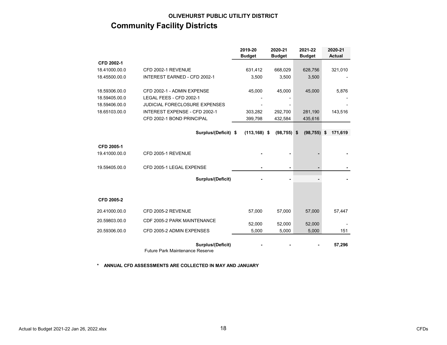### OLIVEHURST PUBLIC UTILITY DISTRICT Community Facility Districts

|               |                                                             | 2019-20<br><b>Budget</b> | 2020-21<br><b>Budget</b> | 2021-22<br><b>Budget</b> | 2020-21<br><b>Actual</b> |
|---------------|-------------------------------------------------------------|--------------------------|--------------------------|--------------------------|--------------------------|
| CFD 2002-1    |                                                             |                          |                          |                          |                          |
| 18.41000.00.0 | CFD 2002-1 REVENUE                                          | 631,412                  | 668,029                  | 628,756                  | 321,010                  |
| 18.45500.00.0 | <b>INTEREST EARNED - CFD 2002-1</b>                         | 3,500                    | 3,500                    | 3,500                    |                          |
| 18.59306.00.0 | CFD 2002-1 - ADMIN EXPENSE                                  | 45,000                   | 45,000                   | 45,000                   | 5,876                    |
| 18.59405.00.0 | LEGAL FEES - CFD 2002-1                                     |                          |                          |                          |                          |
| 18.59406.00.0 | <b>JUDICIAL FORECLOSURE EXPENSES</b>                        |                          |                          |                          |                          |
| 18.65103.00.0 | INTEREST EXPENSE - CFD 2002-1                               | 303,282                  | 292,700                  | 281,190                  | 143,516                  |
|               | CFD 2002-1 BOND PRINCIPAL                                   | 399,798                  | 432,584                  | 435,616                  |                          |
|               |                                                             |                          |                          |                          |                          |
|               | Surplus/(Deficit) \$                                        | $(113, 168)$ \$          | $(98, 755)$ \$           | (98, 755)                | 171,619<br>\$            |
| CFD 2005-1    |                                                             |                          |                          |                          |                          |
| 19.41000.00.0 | CFD 2005-1 REVENUE                                          |                          |                          |                          |                          |
| 19.59405.00.0 | CFD 2005-1 LEGAL EXPENSE                                    |                          |                          |                          |                          |
|               | Surplus/(Deficit)                                           |                          |                          |                          |                          |
|               |                                                             |                          |                          |                          |                          |
| CFD 2005-2    |                                                             |                          |                          |                          |                          |
| 20.41000.00.0 | CFD 2005-2 REVENUE                                          | 57,000                   | 57,000                   | 57,000                   | 57,447                   |
| 20.59803.00.0 | CDF 2005-2 PARK MAINTENANCE                                 | 52,000                   | 52,000                   | 52,000                   |                          |
| 20.59306.00.0 | CFD 2005-2 ADMIN EXPENSES                                   | 5,000                    | 5,000                    | 5,000                    | 151                      |
|               | Surplus/(Deficit)<br><b>Future Park Maintenance Reserve</b> |                          |                          |                          | 57,296                   |

\* ANNUAL CFD ASSESSMENTS ARE COLLECTED IN MAY AND JANUARY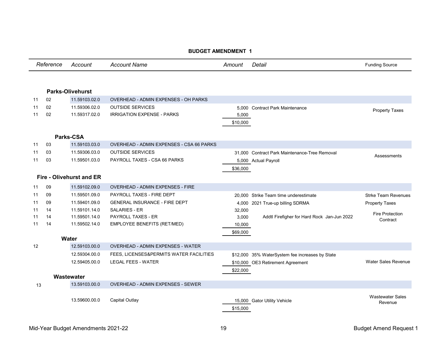|    |           |                                 | <b>BUDGET AMENDMENT 1</b>                |                    |                                                 |                                    |
|----|-----------|---------------------------------|------------------------------------------|--------------------|-------------------------------------------------|------------------------------------|
|    | Reference | Account                         | <b>Account Name</b>                      | Amount             | Detail                                          | <b>Funding Source</b>              |
|    |           | <b>Parks-Olivehurst</b>         |                                          |                    |                                                 |                                    |
| 11 | 02        | 11.59103.02.0                   | OVERHEAD - ADMIN EXPENSES - OH PARKS     |                    |                                                 |                                    |
| 11 | 02        | 11.59306.02.0                   | <b>OUTSIDE SERVICES</b>                  |                    | 5.000 Contract Park Maintenance                 |                                    |
| 11 | 02        | 11.59317.02.0                   | <b>IRRIGATION EXPENSE - PARKS</b>        | 5,000              |                                                 | <b>Property Taxes</b>              |
|    |           |                                 |                                          | \$10,000           |                                                 |                                    |
|    |           | Parks-CSA                       |                                          |                    |                                                 |                                    |
| 11 | 03        | 11.59103.03.0                   | OVERHEAD - ADMIN EXPENSES - CSA 66 PARKS |                    |                                                 |                                    |
| 11 | 03        | 11.59306.03.0                   | <b>OUTSIDE SERVICES</b>                  |                    | 31,000 Contract Park Maintenance-Tree Removal   | Assessments                        |
| 11 | 03        | 11.59501.03.0                   | PAYROLL TAXES - CSA 66 PARKS             |                    | 5,000 Actual Payroll                            |                                    |
|    |           |                                 |                                          | \$36,000           |                                                 |                                    |
|    |           | <b>Fire - Olivehurst and ER</b> |                                          |                    |                                                 |                                    |
| 11 | 09        | 11.59102.09.0                   | OVERHEAD - ADMIN EXPENSES - FIRE         |                    |                                                 |                                    |
| 11 | 09        | 11.59501.09.0                   | PAYROLL TAXES - FIRE DEPT                |                    | 20.000 Strike Team time underestimate           | <b>Strke Team Revenues</b>         |
| 11 | 09        | 11.59401.09.0                   | <b>GENERAL INSURANCE - FIRE DEPT</b>     | 4,000              | 2021 True-up billing SDRMA                      | <b>Property Taxes</b>              |
| 11 | 14        | 11.59101.14.0                   | <b>SALARIES - ER</b>                     | 32,000             |                                                 | <b>Fire Protection</b>             |
| 11 | 14        | 11.59501.14.0                   | <b>PAYROLL TAXES - ER</b>                | 3,000              | Addtl Firefigher for Hard Rock Jan-Jun 2022     | Contract                           |
| 11 | 14        | 11.59502.14.0                   | EMPLOYEE BENEFITS (RET/MED)              | 10,000             |                                                 |                                    |
|    |           |                                 |                                          | \$69,000           |                                                 |                                    |
|    |           | Water                           |                                          |                    |                                                 |                                    |
| 12 |           | 12.59103.00.0                   | <b>OVERHEAD - ADMIN EXPENSES - WATER</b> |                    |                                                 |                                    |
|    |           | 12.59304.00.0                   | FEES, LICENSES&PERMITS WATER FACILITIES  |                    | \$12,000 35% WaterSystem fee increases by State |                                    |
|    |           | 12.59405.00.0                   | <b>LEGAL FEES - WATER</b>                |                    | \$10,000 OE3 Retirement Agreement               | <b>Water Sales Revenue</b>         |
|    |           |                                 |                                          | \$22,000           |                                                 |                                    |
|    |           | Wastewater                      |                                          |                    |                                                 |                                    |
| 13 |           | 13.59103.00.0                   | OVERHEAD - ADMIN EXPENSES - SEWER        |                    |                                                 |                                    |
|    |           | 13.59600.00.0                   | Capital Outlay                           | 15,000<br>\$15,000 | <b>Gator Utility Vehicle</b>                    | <b>Wastewater Sales</b><br>Revenue |

#### Budget Amerikansk amerikansk kon